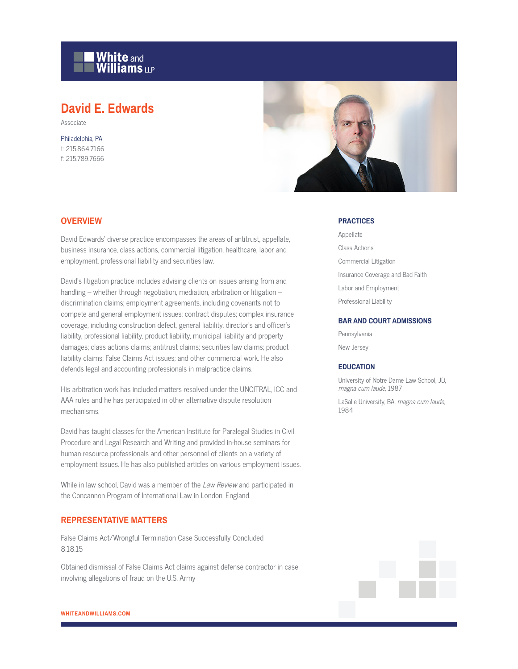

# **David E. Edwards**

Associate

Philadelphia, PA t: 215.864.7166 f: 215.789.7666



### **OVERVIEW**

David Edwards' diverse practice encompasses the areas of antitrust, appellate, business insurance, class actions, commercial litigation, healthcare, labor and employment, professional liability and securities law.

David's litigation practice includes advising clients on issues arising from and handling – whether through negotiation, mediation, arbitration or litigation – discrimination claims; employment agreements, including covenants not to compete and general employment issues; contract disputes; complex insurance coverage, including construction defect, general liability, director's and officer's liability, professional liability, product liability, municipal liability and property damages; class actions claims; antitrust claims; securities law claims; product liability claims; False Claims Act issues; and other commercial work. He also defends legal and accounting professionals in malpractice claims.

His arbitration work has included matters resolved under the UNCITRAL, ICC and AAA rules and he has participated in other alternative dispute resolution mechanisms.

David has taught classes for the American Institute for Paralegal Studies in Civil Procedure and Legal Research and Writing and provided in-house seminars for human resource professionals and other personnel of clients on a variety of employment issues. He has also published articles on various employment issues.

While in law school, David was a member of the Law Review and participated in the Concannon Program of International Law in London, England.

## **REPRESENTATIVE MATTERS**

False Claims Act/Wrongful Termination Case Successfully Concluded 8.18.15

Obtained dismissal of False Claims Act claims against defense contractor in case involving allegations of fraud on the U.S. Army

#### **PRACTICES**

Appellate Class Actions Commercial Litigation Insurance Coverage and Bad Faith Labor and Employment Professional Liability

#### **BAR AND COURT ADMISSIONS**

Pennsylvania

New Jersey

#### **EDUCATION**

University of Notre Dame Law School, JD, magna cum laude, 1987

LaSalle University, BA, magna cum laude, 1984

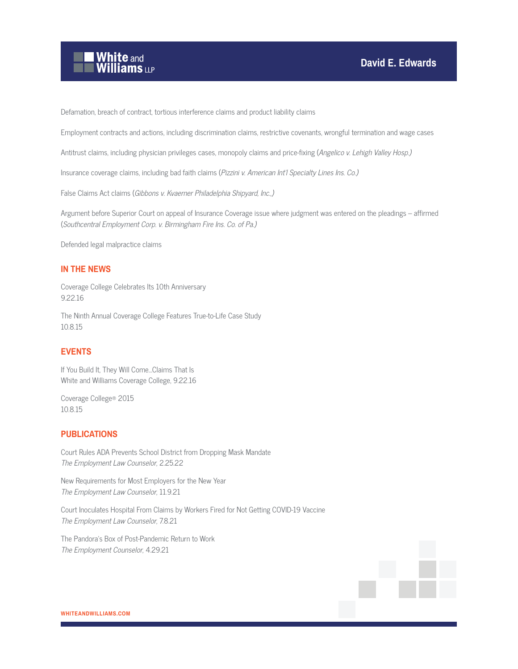

Defamation, breach of contract, tortious interference claims and product liability claims

Employment contracts and actions, including discrimination claims, restrictive covenants, wrongful termination and wage cases

Antitrust claims, including physician privileges cases, monopoly claims and price-fixing (Angelico v. Lehigh Valley Hosp.)

Insurance coverage claims, including bad faith claims (Pizzini v. American Int'l Specialty Lines Ins. Co.)

False Claims Act claims (Gibbons v. Kvaerner Philadelphia Shipyard, Inc.,)

Argument before Superior Court on appeal of Insurance Coverage issue where judgment was entered on the pleadings – affirmed (Southcentral Employment Corp. v. Birmingham Fire Ins. Co. of Pa.)

Defended legal malpractice claims

## **IN THE NEWS**

Coverage College Celebrates Its 10th Anniversary 9.22.16

The Ninth Annual Coverage College Features True-to-Life Case Study 10.8.15

## **EVENTS**

If You Build It, They Will Come...Claims That Is White and Williams Coverage College, 9.22.16

Coverage College® 2015 10.8.15

## **PUBLICATIONS**

Court Rules ADA Prevents School District from Dropping Mask Mandate The Employment Law Counselor, 2.25.22

New Requirements for Most Employers for the New Year The Employment Law Counselor, 11.9.21

Court Inoculates Hospital From Claims by Workers Fired for Not Getting COVID-19 Vaccine The Employment Law Counselor, 7.8.21

The Pandora's Box of Post-Pandemic Return to Work The Employment Counselor, 4.29.21